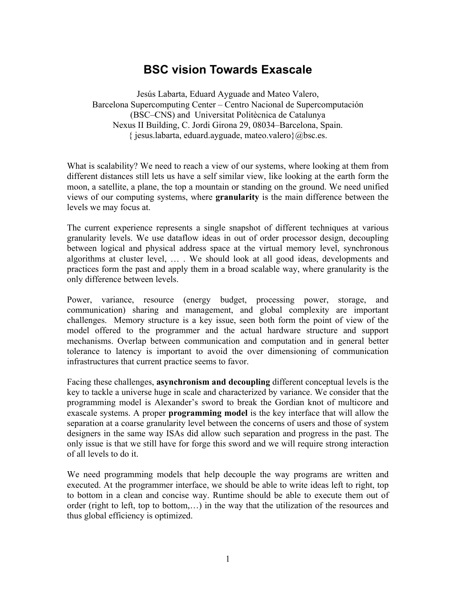## **BSC vision Towards Exascale**

Jesús Labarta, Eduard Ayguade and Mateo Valero, Barcelona Supercomputing Center – Centro Nacional de Supercomputación (BSC–CNS) and Universitat Politècnica de Catalunya Nexus II Building, C. Jordi Girona 29, 08034–Barcelona, Spain.  $\{$  jesus.labarta, eduard.ayguade, mateo.valero $\{$ @bsc.es.

What is scalability? We need to reach a view of our systems, where looking at them from different distances still lets us have a self similar view, like looking at the earth form the moon, a satellite, a plane, the top a mountain or standing on the ground. We need unified views of our computing systems, where **granularity** is the main difference between the levels we may focus at.

The current experience represents a single snapshot of different techniques at various granularity levels. We use dataflow ideas in out of order processor design, decoupling between logical and physical address space at the virtual memory level, synchronous algorithms at cluster level, … . We should look at all good ideas, developments and practices form the past and apply them in a broad scalable way, where granularity is the only difference between levels.

Power, variance, resource (energy budget, processing power, storage, and communication) sharing and management, and global complexity are important challenges. Memory structure is a key issue, seen both form the point of view of the model offered to the programmer and the actual hardware structure and support mechanisms. Overlap between communication and computation and in general better tolerance to latency is important to avoid the over dimensioning of communication infrastructures that current practice seems to favor.

Facing these challenges, **asynchronism and decoupling** different conceptual levels is the key to tackle a universe huge in scale and characterized by variance. We consider that the programming model is Alexander's sword to break the Gordian knot of multicore and exascale systems. A proper **programming model** is the key interface that will allow the separation at a coarse granularity level between the concerns of users and those of system designers in the same way ISAs did allow such separation and progress in the past. The only issue is that we still have for forge this sword and we will require strong interaction of all levels to do it.

We need programming models that help decouple the way programs are written and executed. At the programmer interface, we should be able to write ideas left to right, top to bottom in a clean and concise way. Runtime should be able to execute them out of order (right to left, top to bottom,…) in the way that the utilization of the resources and thus global efficiency is optimized.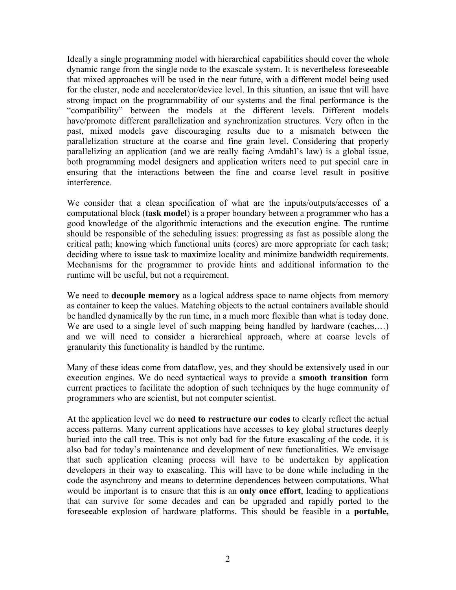Ideally a single programming model with hierarchical capabilities should cover the whole dynamic range from the single node to the exascale system. It is nevertheless foreseeable that mixed approaches will be used in the near future, with a different model being used for the cluster, node and accelerator/device level. In this situation, an issue that will have strong impact on the programmability of our systems and the final performance is the "compatibility" between the models at the different levels. Different models have/promote different parallelization and synchronization structures. Very often in the past, mixed models gave discouraging results due to a mismatch between the parallelization structure at the coarse and fine grain level. Considering that properly parallelizing an application (and we are really facing Amdahl's law) is a global issue, both programming model designers and application writers need to put special care in ensuring that the interactions between the fine and coarse level result in positive interference.

We consider that a clean specification of what are the inputs/outputs/accesses of a computational block (**task model**) is a proper boundary between a programmer who has a good knowledge of the algorithmic interactions and the execution engine. The runtime should be responsible of the scheduling issues: progressing as fast as possible along the critical path; knowing which functional units (cores) are more appropriate for each task; deciding where to issue task to maximize locality and minimize bandwidth requirements. Mechanisms for the programmer to provide hints and additional information to the runtime will be useful, but not a requirement.

We need to **decouple memory** as a logical address space to name objects from memory as container to keep the values. Matching objects to the actual containers available should be handled dynamically by the run time, in a much more flexible than what is today done. We are used to a single level of such mapping being handled by hardware (caches,...) and we will need to consider a hierarchical approach, where at coarse levels of granularity this functionality is handled by the runtime.

Many of these ideas come from dataflow, yes, and they should be extensively used in our execution engines. We do need syntactical ways to provide a **smooth transition** form current practices to facilitate the adoption of such techniques by the huge community of programmers who are scientist, but not computer scientist.

At the application level we do **need to restructure our codes** to clearly reflect the actual access patterns. Many current applications have accesses to key global structures deeply buried into the call tree. This is not only bad for the future exascaling of the code, it is also bad for today's maintenance and development of new functionalities. We envisage that such application cleaning process will have to be undertaken by application developers in their way to exascaling. This will have to be done while including in the code the asynchrony and means to determine dependences between computations. What would be important is to ensure that this is an **only once effort**, leading to applications that can survive for some decades and can be upgraded and rapidly ported to the foreseeable explosion of hardware platforms. This should be feasible in a **portable,**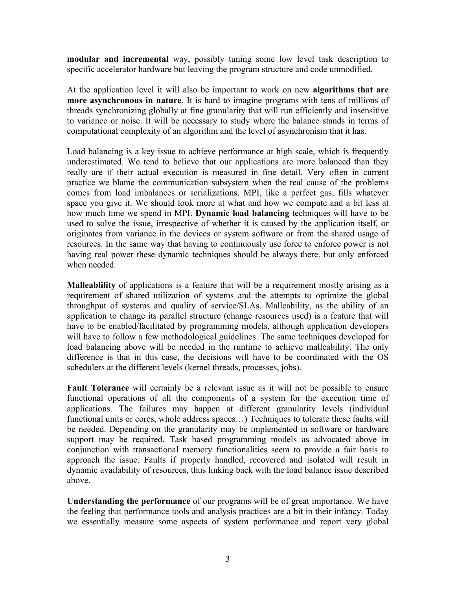**modular and incremental** way, possibly tuning some low level task description to specific accelerator hardware but leaving the program structure and code unmodified.

At the application level it will also be important to work on new **algorithms that are more asynchronous in nature**. It is hard to imagine programs with tens of millions of threads synchronizing globally at fine granularity that will run efficiently and insensitive to variance or noise. It will be necessary to study where the balance stands in terms of computational complexity of an algorithm and the level of asynchronism that it has.

Load balancing is a key issue to achieve performance at high scale, which is frequently underestimated. We tend to believe that our applications are more balanced than they really are if their actual execution is measured in fine detail. Very often in current practice we blame the communication subsystem when the real cause of the problems comes from load imbalances or serializations. MPI, like a perfect gas, fills whatever space you give it. We should look more at what and how we compute and a bit less at how much time we spend in MPI. **Dynamic load balancing** techniques will have to be used to solve the issue, irrespective of whether it is caused by the application itself, or originates from variance in the devices or system software or from the shared usage of resources. In the same way that having to continuously use force to enforce power is not having real power these dynamic techniques should be always there, but only enforced when needed.

**Malleablility** of applications is a feature that will be a requirement mostly arising as a requirement of shared utilization of systems and the attempts to optimize the global throughput of systems and quality of service/SLAs. Malleability, as the ability of an application to change its parallel structure (change resources used) is a feature that will have to be enabled/facilitated by programming models, although application developers will have to follow a few methodological guidelines. The same techniques developed for load balancing above will be needed in the runtime to achieve malleability. The only difference is that in this case, the decisions will have to be coordinated with the OS schedulers at the different levels (kernel threads, processes, jobs).

**Fault Tolerance** will certainly be a relevant issue as it will not be possible to ensure functional operations of all the components of a system for the execution time of applications. The failures may happen at different granularity levels (individual functional units or cores, whole address spaces...) Techniques to tolerate these faults will be needed. Depending on the granularity may be implemented in software or hardware support may be required. Task based programming models as advocated above in conjunction with transactional memory functionalities seem to provide a fair basis to approach the issue. Faults if properly handled, recovered and isolated will result in dynamic availability of resources, thus linking back with the load balance issue described above.

**Understanding the performance** of our programs will be of great importance. We have the feeling that performance tools and analysis practices are a bit in their infancy. Today we essentially measure some aspects of system performance and report very global